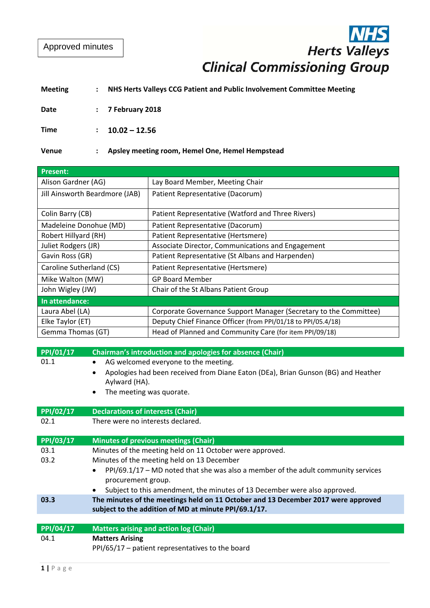Approved minutes

# Herts Valleys<br>Clinical Commissioning Group

# **Meeting : NHS Herts Valleys CCG Patient and Public Involvement Committee Meeting**

**Date : 7 February 2018**

**Time : 10.02 – 12.56**

## **Venue : Apsley meeting room, Hemel One, Hemel Hempstead**

| <b>Present:</b>                |                                                                   |
|--------------------------------|-------------------------------------------------------------------|
| Alison Gardner (AG)            | Lay Board Member, Meeting Chair                                   |
| Jill Ainsworth Beardmore (JAB) | Patient Representative (Dacorum)                                  |
|                                |                                                                   |
| Colin Barry (CB)               | Patient Representative (Watford and Three Rivers)                 |
| Madeleine Donohue (MD)         | Patient Representative (Dacorum)                                  |
| Robert Hillyard (RH)           | Patient Representative (Hertsmere)                                |
| Juliet Rodgers (JR)            | Associate Director, Communications and Engagement                 |
| Gavin Ross (GR)                | Patient Representative (St Albans and Harpenden)                  |
| Caroline Sutherland (CS)       | Patient Representative (Hertsmere)                                |
| Mike Walton (MW)               | <b>GP Board Member</b>                                            |
| John Wigley (JW)               | Chair of the St Albans Patient Group                              |
| In attendance:                 |                                                                   |
| Laura Abel (LA)                | Corporate Governance Support Manager (Secretary to the Committee) |
| Elke Taylor (ET)               | Deputy Chief Finance Officer (from PPI/01/18 to PPI/05.4/18)      |
| Gemma Thomas (GT)              | Head of Planned and Community Care (for item PPI/09/18)           |

| PPI/01/17 | Chairman's introduction and apologies for absence (Chair)                                                                                                                                        |
|-----------|--------------------------------------------------------------------------------------------------------------------------------------------------------------------------------------------------|
| 01.1      | AG welcomed everyone to the meeting.<br>$\bullet$<br>Apologies had been received from Diane Eaton (DEa), Brian Gunson (BG) and Heather<br>Aylward (HA).<br>The meeting was quorate.<br>$\bullet$ |
| PPI/02/17 | <b>Declarations of interests (Chair)</b>                                                                                                                                                         |
| 02.1      | There were no interests declared.                                                                                                                                                                |
| PPI/03/17 | Minutes of previous meetings (Chair)                                                                                                                                                             |
| 03.1      | Minutes of the meeting held on 11 October were approved.                                                                                                                                         |
| 03.2      | Minutes of the meeting held on 13 December                                                                                                                                                       |
|           | PPI/69.1/17 - MD noted that she was also a member of the adult community services<br>procurement group.<br>Subject to this amendment, the minutes of 13 December were also approved.             |
| 03.3      | The minutes of the meetings held on 11 October and 13 December 2017 were approved                                                                                                                |
|           | subject to the addition of MD at minute PPI/69.1/17.                                                                                                                                             |
|           |                                                                                                                                                                                                  |
| PPI/04/17 | <b>Matters arising and action log (Chair)</b>                                                                                                                                                    |
| 04.1      | <b>Matters Arising</b>                                                                                                                                                                           |
|           | $PI/65/17$ – patient representatives to the board                                                                                                                                                |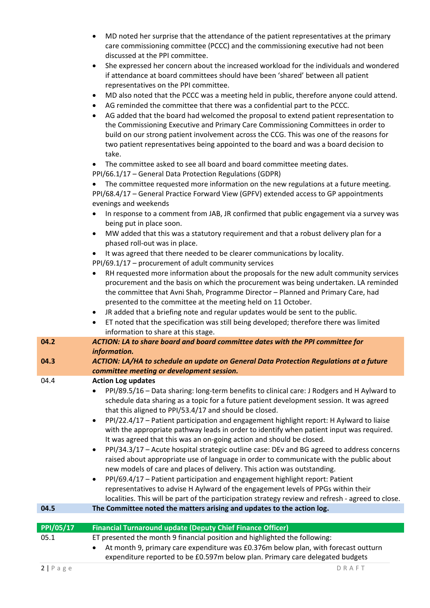- MD noted her surprise that the attendance of the patient representatives at the primary care commissioning committee (PCCC) and the commissioning executive had not been discussed at the PPI committee.
- She expressed her concern about the increased workload for the individuals and wondered if attendance at board committees should have been 'shared' between all patient representatives on the PPI committee.
- MD also noted that the PCCC was a meeting held in public, therefore anyone could attend.
- AG reminded the committee that there was a confidential part to the PCCC.
- AG added that the board had welcomed the proposal to extend patient representation to the Commissioning Executive and Primary Care Commissioning Committees in order to build on our strong patient involvement across the CCG. This was one of the reasons for two patient representatives being appointed to the board and was a board decision to take.

• The committee asked to see all board and board committee meeting dates.

PPI/66.1/17 – General Data Protection Regulations (GDPR)

 The committee requested more information on the new regulations at a future meeting. PPI/68.4/17 – General Practice Forward View (GPFV) extended access to GP appointments evenings and weekends

- In response to a comment from JAB, JR confirmed that public engagement via a survey was being put in place soon.
- MW added that this was a statutory requirement and that a robust delivery plan for a phased roll‐out was in place.
- It was agreed that there needed to be clearer communications by locality.
- PPI/69.1/17 procurement of adult community services
- RH requested more information about the proposals for the new adult community services procurement and the basis on which the procurement was being undertaken. LA reminded the committee that Avni Shah, Programme Director – Planned and Primary Care, had presented to the committee at the meeting held on 11 October.
- JR added that a briefing note and regular updates would be sent to the public.
- ET noted that the specification was still being developed; therefore there was limited information to share at this stage.

| 04.2             | ACTION: LA to share board and board committee dates with the PPI committee for<br>information.                                                                                                                                                                                                                                                                                                                                                                                                                                                                                                                                                                                                                                                                                                                                                                                                                                                                                                                                                                                                           |
|------------------|----------------------------------------------------------------------------------------------------------------------------------------------------------------------------------------------------------------------------------------------------------------------------------------------------------------------------------------------------------------------------------------------------------------------------------------------------------------------------------------------------------------------------------------------------------------------------------------------------------------------------------------------------------------------------------------------------------------------------------------------------------------------------------------------------------------------------------------------------------------------------------------------------------------------------------------------------------------------------------------------------------------------------------------------------------------------------------------------------------|
| 04.3             | ACTION: LA/HA to schedule an update on General Data Protection Regulations at a future<br>committee meeting or development session.                                                                                                                                                                                                                                                                                                                                                                                                                                                                                                                                                                                                                                                                                                                                                                                                                                                                                                                                                                      |
| 04.4             | <b>Action Log updates</b><br>PPI/89.5/16 - Data sharing: long-term benefits to clinical care: J Rodgers and H Aylward to<br>schedule data sharing as a topic for a future patient development session. It was agreed<br>that this aligned to PPI/53.4/17 and should be closed.<br>PPI/22.4/17 - Patient participation and engagement highlight report: H Aylward to liaise<br>with the appropriate pathway leads in order to identify when patient input was required.<br>It was agreed that this was an on-going action and should be closed.<br>PPI/34.3/17 – Acute hospital strategic outline case: DEv and BG agreed to address concerns<br>raised about appropriate use of language in order to communicate with the public about<br>new models of care and places of delivery. This action was outstanding.<br>PPI/69.4/17 - Patient participation and engagement highlight report: Patient<br>$\bullet$<br>representatives to advise H Aylward of the engagement levels of PPGs within their<br>localities. This will be part of the participation strategy review and refresh - agreed to close. |
| 04.5             | The Committee noted the matters arising and updates to the action log.                                                                                                                                                                                                                                                                                                                                                                                                                                                                                                                                                                                                                                                                                                                                                                                                                                                                                                                                                                                                                                   |
|                  |                                                                                                                                                                                                                                                                                                                                                                                                                                                                                                                                                                                                                                                                                                                                                                                                                                                                                                                                                                                                                                                                                                          |
| <b>PPI/05/17</b> | <b>Financial Turnaround update (Deputy Chief Finance Officer)</b>                                                                                                                                                                                                                                                                                                                                                                                                                                                                                                                                                                                                                                                                                                                                                                                                                                                                                                                                                                                                                                        |
| 05.1             | ET presented the month 9 financial position and highlighted the following:<br>At month 9, primary care expenditure was £0.376m below plan, with forecast outturn                                                                                                                                                                                                                                                                                                                                                                                                                                                                                                                                                                                                                                                                                                                                                                                                                                                                                                                                         |

expenditure reported to be £0.597m below plan. Primary care delegated budgets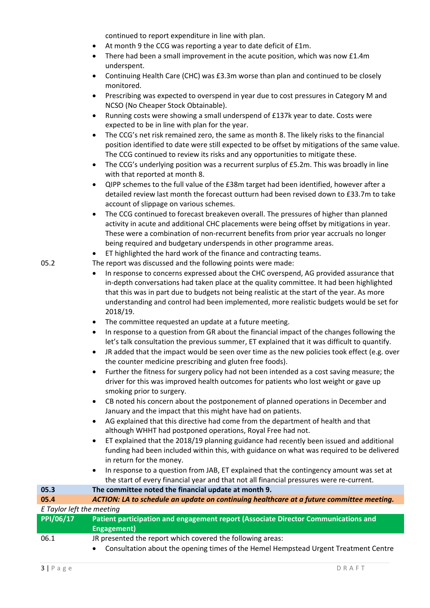continued to report expenditure in line with plan.

- At month 9 the CCG was reporting a year to date deficit of £1m.
- There had been a small improvement in the acute position, which was now £1.4m underspent.
- Continuing Health Care (CHC) was £3.3m worse than plan and continued to be closely monitored.
- Prescribing was expected to overspend in year due to cost pressures in Category M and NCSO (No Cheaper Stock Obtainable).
- Running costs were showing a small underspend of £137k year to date. Costs were expected to be in line with plan for the year.
- The CCG's net risk remained zero, the same as month 8. The likely risks to the financial position identified to date were still expected to be offset by mitigations of the same value. The CCG continued to review its risks and any opportunities to mitigate these.
- The CCG's underlying position was a recurrent surplus of £5.2m. This was broadly in line with that reported at month 8.
- QIPP schemes to the full value of the £38m target had been identified, however after a detailed review last month the forecast outturn had been revised down to £33.7m to take account of slippage on various schemes.
- The CCG continued to forecast breakeven overall. The pressures of higher than planned activity in acute and additional CHC placements were being offset by mitigations in year. These were a combination of non‐recurrent benefits from prior year accruals no longer being required and budgetary underspends in other programme areas.
- ET highlighted the hard work of the finance and contracting teams.
- 05.2 The report was discussed and the following points were made:
	- In response to concerns expressed about the CHC overspend, AG provided assurance that in-depth conversations had taken place at the quality committee. It had been highlighted that this was in part due to budgets not being realistic at the start of the year. As more understanding and control had been implemented, more realistic budgets would be set for 2018/19.
	- The committee requested an update at a future meeting.
	- In response to a question from GR about the financial impact of the changes following the let's talk consultation the previous summer, ET explained that it was difficult to quantify.
	- JR added that the impact would be seen over time as the new policies took effect (e.g. over the counter medicine prescribing and gluten free foods).
	- Further the fitness for surgery policy had not been intended as a cost saving measure; the driver for this was improved health outcomes for patients who lost weight or gave up smoking prior to surgery.
	- CB noted his concern about the postponement of planned operations in December and January and the impact that this might have had on patients.
	- AG explained that this directive had come from the department of health and that although WHHT had postponed operations, Royal Free had not.
	- ET explained that the 2018/19 planning guidance had recently been issued and additional funding had been included within this, with guidance on what was required to be delivered in return for the money.
	- In response to a question from JAB, ET explained that the contingency amount was set at the start of every financial year and that not all financial pressures were re‐current.

| 05.3                      | The committee noted the financial update at month 9.                                             |
|---------------------------|--------------------------------------------------------------------------------------------------|
| 05.4                      | ACTION: LA to schedule an update on continuing healthcare at a future committee meeting.         |
| E Taylor left the meeting |                                                                                                  |
| PPI/06/17                 | Patient participation and engagement report (Associate Director Communications and               |
|                           | Engagement)                                                                                      |
| 06.1                      | JR presented the report which covered the following areas:                                       |
|                           | Consultation about the opening times of the Hemel Hempstead Urgent Treatment Centre<br>$\bullet$ |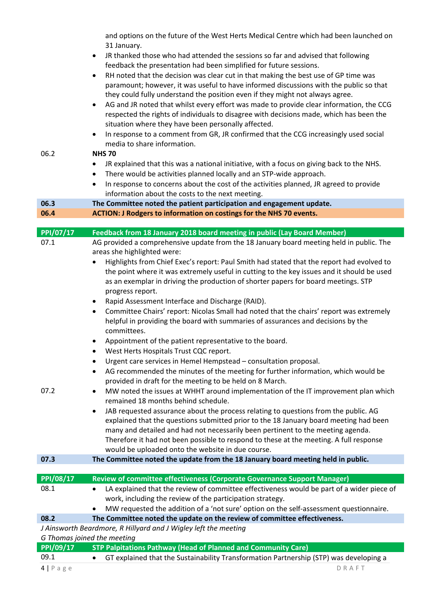and options on the future of the West Herts Medical Centre which had been launched on 31 January.

- JR thanked those who had attended the sessions so far and advised that following feedback the presentation had been simplified for future sessions.
- RH noted that the decision was clear cut in that making the best use of GP time was paramount; however, it was useful to have informed discussions with the public so that they could fully understand the position even if they might not always agree.
- AG and JR noted that whilst every effort was made to provide clear information, the CCG respected the rights of individuals to disagree with decisions made, which has been the situation where they have been personally affected.
- In response to a comment from GR, JR confirmed that the CCG increasingly used social media to share information.

# 06.2 **NHS 70**

- JR explained that this was a national initiative, with a focus on giving back to the NHS.
- There would be activities planned locally and an STP‐wide approach.
- In response to concerns about the cost of the activities planned, JR agreed to provide information about the costs to the next meeting.

# **06.3 The Committee noted the patient participation and engagement update.**

**06.4 ACTION: J Rodgers to information on costings for the NHS 70 events.**

| PPI/07/17                   | Feedback from 18 January 2018 board meeting in public (Lay Board Member)                               |
|-----------------------------|--------------------------------------------------------------------------------------------------------|
| 07.1                        | AG provided a comprehensive update from the 18 January board meeting held in public. The               |
|                             | areas she highlighted were:                                                                            |
|                             | Highlights from Chief Exec's report: Paul Smith had stated that the report had evolved to              |
|                             | the point where it was extremely useful in cutting to the key issues and it should be used             |
|                             | as an exemplar in driving the production of shorter papers for board meetings. STP                     |
|                             | progress report.                                                                                       |
|                             | Rapid Assessment Interface and Discharge (RAID).<br>$\bullet$                                          |
|                             | Committee Chairs' report: Nicolas Small had noted that the chairs' report was extremely<br>$\bullet$   |
|                             | helpful in providing the board with summaries of assurances and decisions by the<br>committees.        |
|                             | Appointment of the patient representative to the board.<br>$\bullet$                                   |
|                             | West Herts Hospitals Trust CQC report.<br>$\bullet$                                                    |
|                             | Urgent care services in Hemel Hempstead - consultation proposal.<br>$\bullet$                          |
|                             | AG recommended the minutes of the meeting for further information, which would be<br>$\bullet$         |
|                             | provided in draft for the meeting to be held on 8 March.                                               |
| 07.2                        | MW noted the issues at WHHT around implementation of the IT improvement plan which<br>$\bullet$        |
|                             | remained 18 months behind schedule.                                                                    |
|                             | JAB requested assurance about the process relating to questions from the public. AG<br>$\bullet$       |
|                             | explained that the questions submitted prior to the 18 January board meeting had been                  |
|                             | many and detailed and had not necessarily been pertinent to the meeting agenda.                        |
|                             | Therefore it had not been possible to respond to these at the meeting. A full response                 |
|                             | would be uploaded onto the website in due course.                                                      |
| 07.3                        | The Committee noted the update from the 18 January board meeting held in public.                       |
|                             |                                                                                                        |
| PPI/08/17                   | Review of committee effectiveness (Corporate Governance Support Manager)                               |
| 08.1                        | LA explained that the review of committee effectiveness would be part of a wider piece of<br>$\bullet$ |
|                             | work, including the review of the participation strategy.                                              |
|                             | MW requested the addition of a 'not sure' option on the self-assessment questionnaire.                 |
| 08.2                        | The Committee noted the update on the review of committee effectiveness.                               |
|                             | J Ainsworth Beardmore, R Hillyard and J Wigley left the meeting                                        |
| G Thomas joined the meeting |                                                                                                        |
| PPI/09/17                   | <b>STP Palpitations Pathway (Head of Planned and Community Care)</b>                                   |
| 09.1                        | GT explained that the Sustainability Transformation Partnership (STP) was developing a<br>$\bullet$    |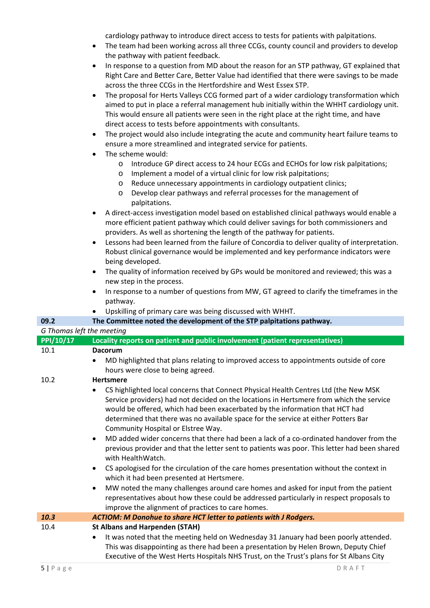cardiology pathway to introduce direct access to tests for patients with palpitations.

- The team had been working across all three CCGs, county council and providers to develop the pathway with patient feedback.
- In response to a question from MD about the reason for an STP pathway, GT explained that Right Care and Better Care, Better Value had identified that there were savings to be made across the three CCGs in the Hertfordshire and West Essex STP.
- The proposal for Herts Valleys CCG formed part of a wider cardiology transformation which aimed to put in place a referral management hub initially within the WHHT cardiology unit. This would ensure all patients were seen in the right place at the right time, and have direct access to tests before appointments with consultants.
- The project would also include integrating the acute and community heart failure teams to ensure a more streamlined and integrated service for patients.
- The scheme would:
	- o Introduce GP direct access to 24 hour ECGs and ECHOs for low risk palpitations;
	- o Implement a model of a virtual clinic for low risk palpitations;
	- o Reduce unnecessary appointments in cardiology outpatient clinics;
	- o Develop clear pathways and referral processes for the management of palpitations.
- A direct‐access investigation model based on established clinical pathways would enable a more efficient patient pathway which could deliver savings for both commissioners and providers. As well as shortening the length of the pathway for patients.
- Lessons had been learned from the failure of Concordia to deliver quality of interpretation. Robust clinical governance would be implemented and key performance indicators were being developed.
- The quality of information received by GPs would be monitored and reviewed; this was a new step in the process.
- In response to a number of questions from MW, GT agreed to clarify the timeframes in the pathway.
- Upskilling of primary care was being discussed with WHHT.

## **09.2 The Committee noted the development of the STP palpitations pathway.**

## *G Thomas left the meeting*

| $\overline{PPI/10/17}$ | Locality reports on patient and public involvement (patient representatives)                                                                                                                                                                                                                                                                                                                                                                                                                                                                                                                                                                                                                                                                                                                                                                                                                                                                                                                                                                 |
|------------------------|----------------------------------------------------------------------------------------------------------------------------------------------------------------------------------------------------------------------------------------------------------------------------------------------------------------------------------------------------------------------------------------------------------------------------------------------------------------------------------------------------------------------------------------------------------------------------------------------------------------------------------------------------------------------------------------------------------------------------------------------------------------------------------------------------------------------------------------------------------------------------------------------------------------------------------------------------------------------------------------------------------------------------------------------|
| 10.1                   | <b>Dacorum</b>                                                                                                                                                                                                                                                                                                                                                                                                                                                                                                                                                                                                                                                                                                                                                                                                                                                                                                                                                                                                                               |
|                        | MD highlighted that plans relating to improved access to appointments outside of core<br>hours were close to being agreed.                                                                                                                                                                                                                                                                                                                                                                                                                                                                                                                                                                                                                                                                                                                                                                                                                                                                                                                   |
| 10.2                   | <b>Hertsmere</b>                                                                                                                                                                                                                                                                                                                                                                                                                                                                                                                                                                                                                                                                                                                                                                                                                                                                                                                                                                                                                             |
|                        | CS highlighted local concerns that Connect Physical Health Centres Ltd (the New MSK<br>$\bullet$<br>Service providers) had not decided on the locations in Hertsmere from which the service<br>would be offered, which had been exacerbated by the information that HCT had<br>determined that there was no available space for the service at either Potters Bar<br>Community Hospital or Elstree Way.<br>MD added wider concerns that there had been a lack of a co-ordinated handover from the<br>$\bullet$<br>previous provider and that the letter sent to patients was poor. This letter had been shared<br>with HealthWatch.<br>CS apologised for the circulation of the care homes presentation without the context in<br>$\bullet$<br>which it had been presented at Hertsmere.<br>MW noted the many challenges around care homes and asked for input from the patient<br>$\bullet$<br>representatives about how these could be addressed particularly in respect proposals to<br>improve the alignment of practices to care homes. |
| 10.3                   | ACTIOM: M Donohue to share HCT letter to patients with J Rodgers.                                                                                                                                                                                                                                                                                                                                                                                                                                                                                                                                                                                                                                                                                                                                                                                                                                                                                                                                                                            |
| 10.4                   | <b>St Albans and Harpenden (STAH)</b><br>It was noted that the meeting held on Wednesday 31 January had been poorly attended.<br>This was disappointing as there had been a presentation by Helen Brown, Deputy Chief<br>Executive of the West Herts Hospitals NHS Trust, on the Trust's plans for St Albans City                                                                                                                                                                                                                                                                                                                                                                                                                                                                                                                                                                                                                                                                                                                            |